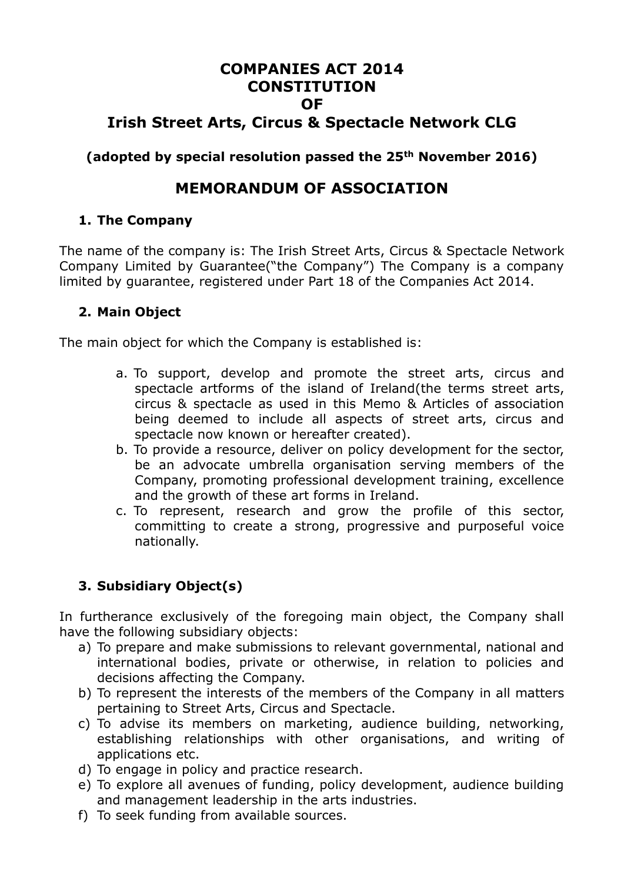# **COMPANIES ACT 2014 CONSTITUTION OF Irish Street Arts, Circus & Spectacle Network CLG**

**(adopted by special resolution passed the 25th November 2016)**

# **MEMORANDUM OF ASSOCIATION**

# **1. The Company**

The name of the company is: The Irish Street Arts, Circus & Spectacle Network Company Limited by Guarantee("the Company") The Company is a company limited by guarantee, registered under Part 18 of the Companies Act 2014.

# **2. Main Object**

The main object for which the Company is established is:

- a. To support, develop and promote the street arts, circus and spectacle artforms of the island of Ireland(the terms street arts, circus & spectacle as used in this Memo & Articles of association being deemed to include all aspects of street arts, circus and spectacle now known or hereafter created).
- b. To provide a resource, deliver on policy development for the sector, be an advocate umbrella organisation serving members of the Company, promoting professional development training, excellence and the growth of these art forms in Ireland.
- c. To represent, research and grow the profile of this sector, committing to create a strong, progressive and purposeful voice nationally.

# **3. Subsidiary Object(s)**

In furtherance exclusively of the foregoing main object, the Company shall have the following subsidiary objects:

- a) To prepare and make submissions to relevant governmental, national and international bodies, private or otherwise, in relation to policies and decisions affecting the Company.
- b) To represent the interests of the members of the Company in all matters pertaining to Street Arts, Circus and Spectacle.
- c) To advise its members on marketing, audience building, networking, establishing relationships with other organisations, and writing of applications etc.
- d) To engage in policy and practice research.
- e) To explore all avenues of funding, policy development, audience building and management leadership in the arts industries.
- f) To seek funding from available sources.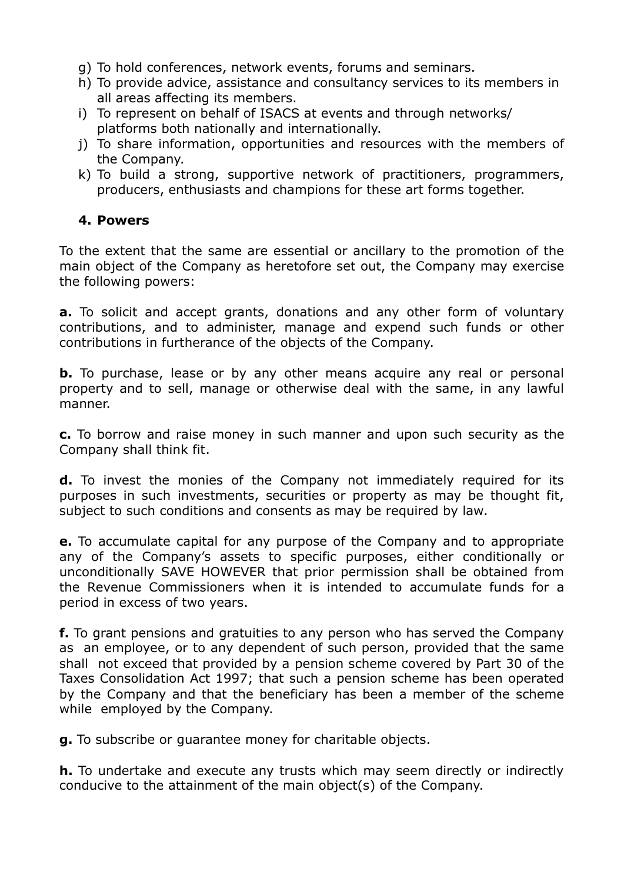- g) To hold conferences, network events, forums and seminars.
- h) To provide advice, assistance and consultancy services to its members in all areas affecting its members.
- i) To represent on behalf of ISACS at events and through networks/ platforms both nationally and internationally.
- j) To share information, opportunities and resources with the members of the Company.
- k) To build a strong, supportive network of practitioners, programmers, producers, enthusiasts and champions for these art forms together.

## **4. Powers**

To the extent that the same are essential or ancillary to the promotion of the main object of the Company as heretofore set out, the Company may exercise the following powers:

**a.** To solicit and accept grants, donations and any other form of voluntary contributions, and to administer, manage and expend such funds or other contributions in furtherance of the objects of the Company.

**b.** To purchase, lease or by any other means acquire any real or personal property and to sell, manage or otherwise deal with the same, in any lawful manner.

**c.** To borrow and raise money in such manner and upon such security as the Company shall think fit.

**d.** To invest the monies of the Company not immediately required for its purposes in such investments, securities or property as may be thought fit, subject to such conditions and consents as may be required by law.

**e.** To accumulate capital for any purpose of the Company and to appropriate any of the Company's assets to specific purposes, either conditionally or unconditionally SAVE HOWEVER that prior permission shall be obtained from the Revenue Commissioners when it is intended to accumulate funds for a period in excess of two years.

**f.** To grant pensions and gratuities to any person who has served the Company as an employee, or to any dependent of such person, provided that the same shall not exceed that provided by a pension scheme covered by Part 30 of the Taxes Consolidation Act 1997; that such a pension scheme has been operated by the Company and that the beneficiary has been a member of the scheme while employed by the Company.

**g.** To subscribe or guarantee money for charitable objects.

**h.** To undertake and execute any trusts which may seem directly or indirectly conducive to the attainment of the main object(s) of the Company.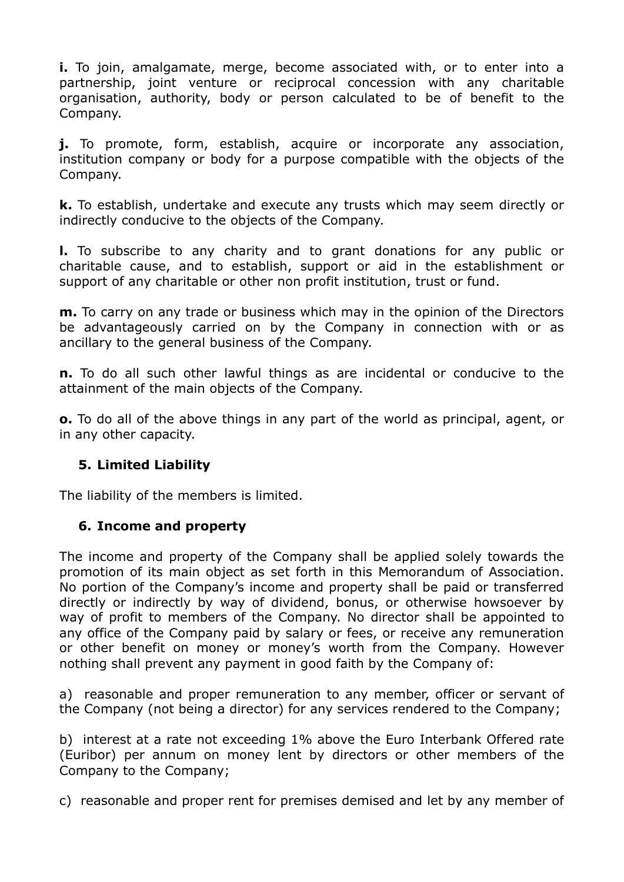**i.** To join, amalgamate, merge, become associated with, or to enter into a partnership, joint venture or reciprocal concession with any charitable organisation, authority, body or person calculated to be of benefit to the Company.

**j.** To promote, form, establish, acquire or incorporate any association, institution company or body for a purpose compatible with the objects of the Company.

**k.** To establish, undertake and execute any trusts which may seem directly or indirectly conducive to the objects of the Company.

**l.** To subscribe to any charity and to grant donations for any public or charitable cause, and to establish, support or aid in the establishment or support of any charitable or other non profit institution, trust or fund.

**m.** To carry on any trade or business which may in the opinion of the Directors be advantageously carried on by the Company in connection with or as ancillary to the general business of the Company.

**n.** To do all such other lawful things as are incidental or conducive to the attainment of the main objects of the Company.

**o.** To do all of the above things in any part of the world as principal, agent, or in any other capacity.

# **5. Limited Liability**

The liability of the members is limited.

# **6. Income and property**

The income and property of the Company shall be applied solely towards the promotion of its main object as set forth in this Memorandum of Association. No portion of the Company's income and property shall be paid or transferred directly or indirectly by way of dividend, bonus, or otherwise howsoever by way of profit to members of the Company. No director shall be appointed to any office of the Company paid by salary or fees, or receive any remuneration or other benefit on money or money's worth from the Company. However nothing shall prevent any payment in good faith by the Company of:

a) reasonable and proper remuneration to any member, officer or servant of the Company (not being a director) for any services rendered to the Company;

b) interest at a rate not exceeding 1% above the Euro Interbank Offered rate (Euribor) per annum on money lent by directors or other members of the Company to the Company;

c) reasonable and proper rent for premises demised and let by any member of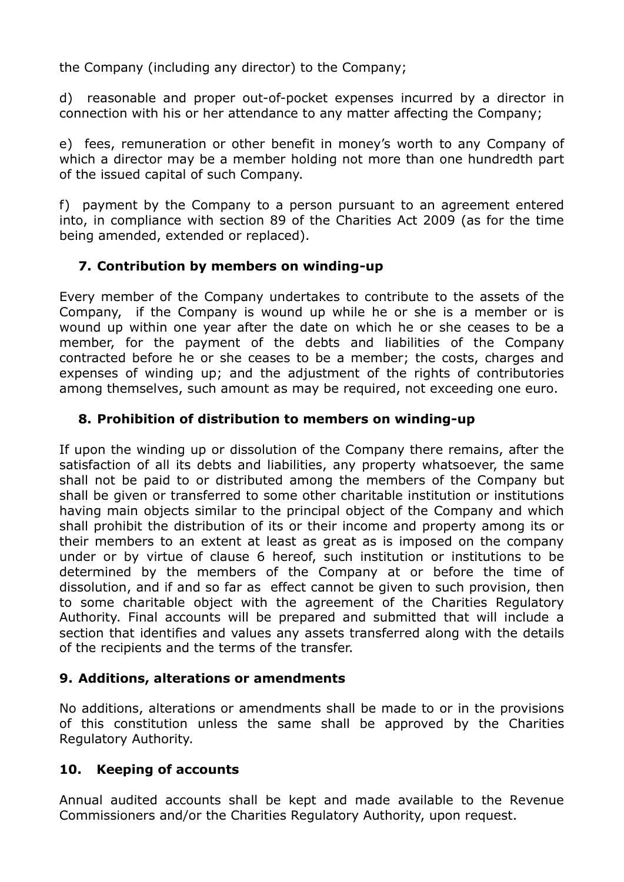the Company (including any director) to the Company;

d) reasonable and proper out-of-pocket expenses incurred by a director in connection with his or her attendance to any matter affecting the Company;

e) fees, remuneration or other benefit in money's worth to any Company of which a director may be a member holding not more than one hundredth part of the issued capital of such Company.

f) payment by the Company to a person pursuant to an agreement entered into, in compliance with section 89 of the Charities Act 2009 (as for the time being amended, extended or replaced).

# **7. Contribution by members on winding-up**

Every member of the Company undertakes to contribute to the assets of the Company, if the Company is wound up while he or she is a member or is wound up within one year after the date on which he or she ceases to be a member, for the payment of the debts and liabilities of the Company contracted before he or she ceases to be a member; the costs, charges and expenses of winding up; and the adjustment of the rights of contributories among themselves, such amount as may be required, not exceeding one euro.

# **8. Prohibition of distribution to members on winding-up**

If upon the winding up or dissolution of the Company there remains, after the satisfaction of all its debts and liabilities, any property whatsoever, the same shall not be paid to or distributed among the members of the Company but shall be given or transferred to some other charitable institution or institutions having main objects similar to the principal object of the Company and which shall prohibit the distribution of its or their income and property among its or their members to an extent at least as great as is imposed on the company under or by virtue of clause 6 hereof, such institution or institutions to be determined by the members of the Company at or before the time of dissolution, and if and so far as effect cannot be given to such provision, then to some charitable object with the agreement of the Charities Regulatory Authority. Final accounts will be prepared and submitted that will include a section that identifies and values any assets transferred along with the details of the recipients and the terms of the transfer.

# **9. Additions, alterations or amendments**

No additions, alterations or amendments shall be made to or in the provisions of this constitution unless the same shall be approved by the Charities Regulatory Authority.

# **10. Keeping of accounts**

Annual audited accounts shall be kept and made available to the Revenue Commissioners and/or the Charities Regulatory Authority, upon request.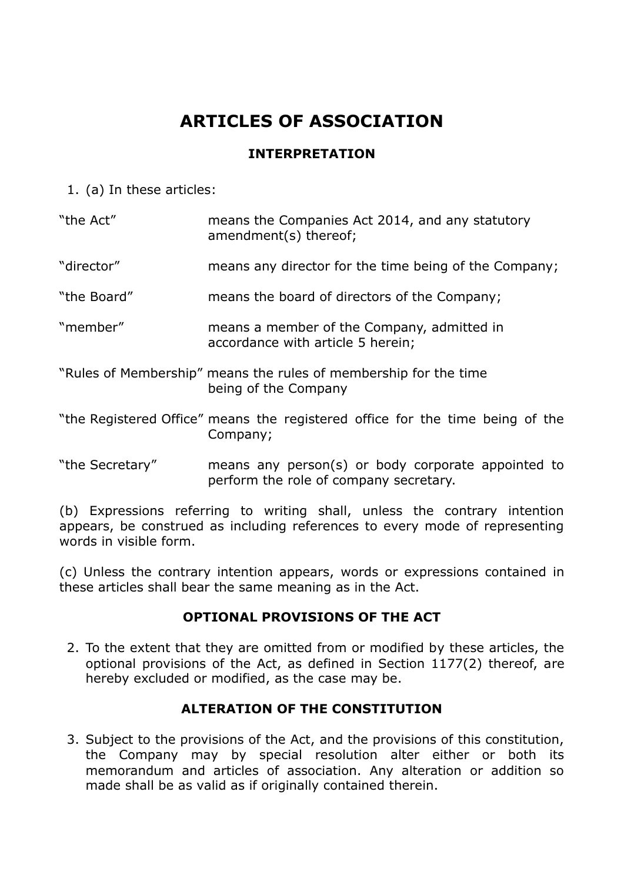# **ARTICLES OF ASSOCIATION**

#### **INTERPRETATION**

1. (a) In these articles:

| "the Act"       | means the Companies Act 2014, and any statutory<br>amendment(s) thereof;                     |
|-----------------|----------------------------------------------------------------------------------------------|
| "director"      | means any director for the time being of the Company;                                        |
| "the Board"     | means the board of directors of the Company;                                                 |
| "member"        | means a member of the Company, admitted in<br>accordance with article 5 herein;              |
|                 | "Rules of Membership" means the rules of membership for the time<br>being of the Company     |
|                 | "the Registered Office" means the registered office for the time being of the<br>Company;    |
| "the Secretary" | means any person(s) or body corporate appointed to<br>perform the role of company secretary. |

(b) Expressions referring to writing shall, unless the contrary intention appears, be construed as including references to every mode of representing words in visible form.

(c) Unless the contrary intention appears, words or expressions contained in these articles shall bear the same meaning as in the Act.

# **OPTIONAL PROVISIONS OF THE ACT**

2. To the extent that they are omitted from or modified by these articles, the optional provisions of the Act, as defined in Section 1177(2) thereof, are hereby excluded or modified, as the case may be.

# **ALTERATION OF THE CONSTITUTION**

3. Subject to the provisions of the Act, and the provisions of this constitution, the Company may by special resolution alter either or both its memorandum and articles of association. Any alteration or addition so made shall be as valid as if originally contained therein.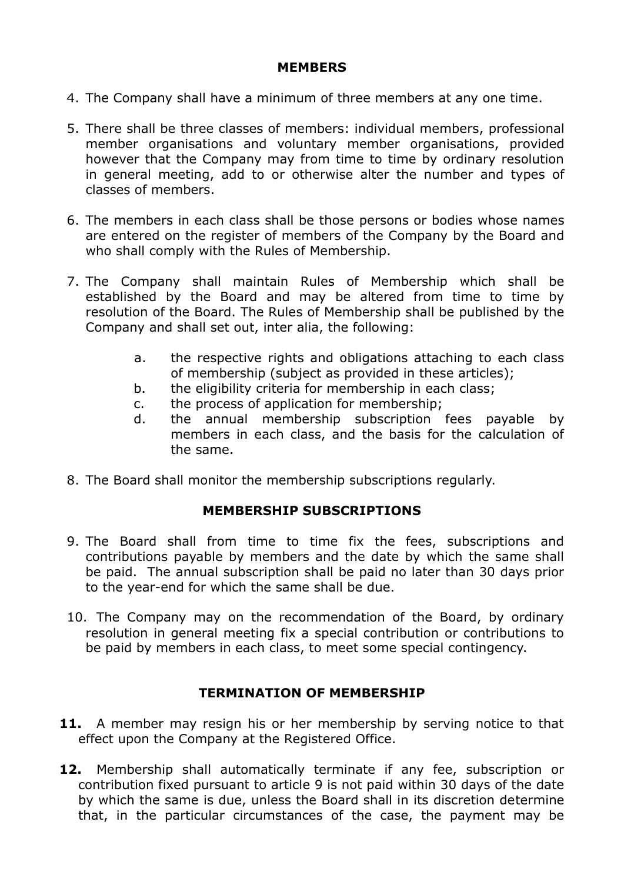#### **MEMBERS**

- 4. The Company shall have a minimum of three members at any one time.
- 5. There shall be three classes of members: individual members, professional member organisations and voluntary member organisations, provided however that the Company may from time to time by ordinary resolution in general meeting, add to or otherwise alter the number and types of classes of members.
- 6. The members in each class shall be those persons or bodies whose names are entered on the register of members of the Company by the Board and who shall comply with the Rules of Membership.
- 7. The Company shall maintain Rules of Membership which shall be established by the Board and may be altered from time to time by resolution of the Board. The Rules of Membership shall be published by the Company and shall set out, inter alia, the following:
	- a. the respective rights and obligations attaching to each class of membership (subject as provided in these articles);
	- b. the eligibility criteria for membership in each class;
	- c. the process of application for membership;
	- d. the annual membership subscription fees payable by members in each class, and the basis for the calculation of the same.
- 8. The Board shall monitor the membership subscriptions regularly.

#### **MEMBERSHIP SUBSCRIPTIONS**

- 9. The Board shall from time to time fix the fees, subscriptions and contributions payable by members and the date by which the same shall be paid. The annual subscription shall be paid no later than 30 days prior to the year-end for which the same shall be due.
- 10. The Company may on the recommendation of the Board, by ordinary resolution in general meeting fix a special contribution or contributions to be paid by members in each class, to meet some special contingency.

#### **TERMINATION OF MEMBERSHIP**

- **11.** A member may resign his or her membership by serving notice to that effect upon the Company at the Registered Office.
- **12.** Membership shall automatically terminate if any fee, subscription or contribution fixed pursuant to article 9 is not paid within 30 days of the date by which the same is due, unless the Board shall in its discretion determine that, in the particular circumstances of the case, the payment may be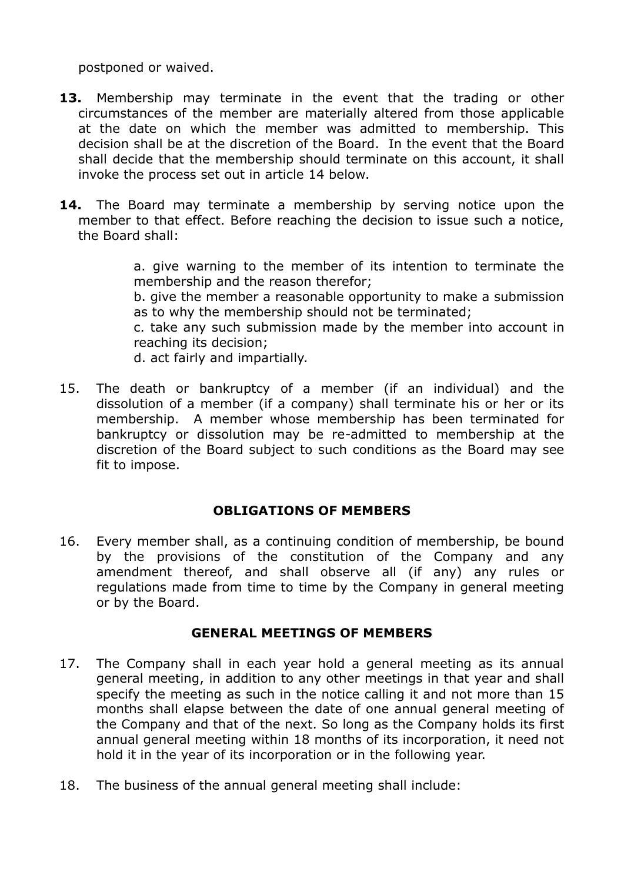postponed or waived.

- **13.** Membership may terminate in the event that the trading or other circumstances of the member are materially altered from those applicable at the date on which the member was admitted to membership. This decision shall be at the discretion of the Board. In the event that the Board shall decide that the membership should terminate on this account, it shall invoke the process set out in article 14 below.
- **14.** The Board may terminate a membership by serving notice upon the member to that effect. Before reaching the decision to issue such a notice, the Board shall:

a. give warning to the member of its intention to terminate the membership and the reason therefor; b. give the member a reasonable opportunity to make a submission as to why the membership should not be terminated; c. take any such submission made by the member into account in reaching its decision;

d. act fairly and impartially.

15. The death or bankruptcy of a member (if an individual) and the dissolution of a member (if a company) shall terminate his or her or its membership. A member whose membership has been terminated for bankruptcy or dissolution may be re-admitted to membership at the discretion of the Board subject to such conditions as the Board may see fit to impose.

#### **OBLIGATIONS OF MEMBERS**

16. Every member shall, as a continuing condition of membership, be bound by the provisions of the constitution of the Company and any amendment thereof, and shall observe all (if any) any rules or regulations made from time to time by the Company in general meeting or by the Board.

#### **GENERAL MEETINGS OF MEMBERS**

- 17. The Company shall in each year hold a general meeting as its annual general meeting, in addition to any other meetings in that year and shall specify the meeting as such in the notice calling it and not more than 15 months shall elapse between the date of one annual general meeting of the Company and that of the next. So long as the Company holds its first annual general meeting within 18 months of its incorporation, it need not hold it in the year of its incorporation or in the following year.
- 18. The business of the annual general meeting shall include: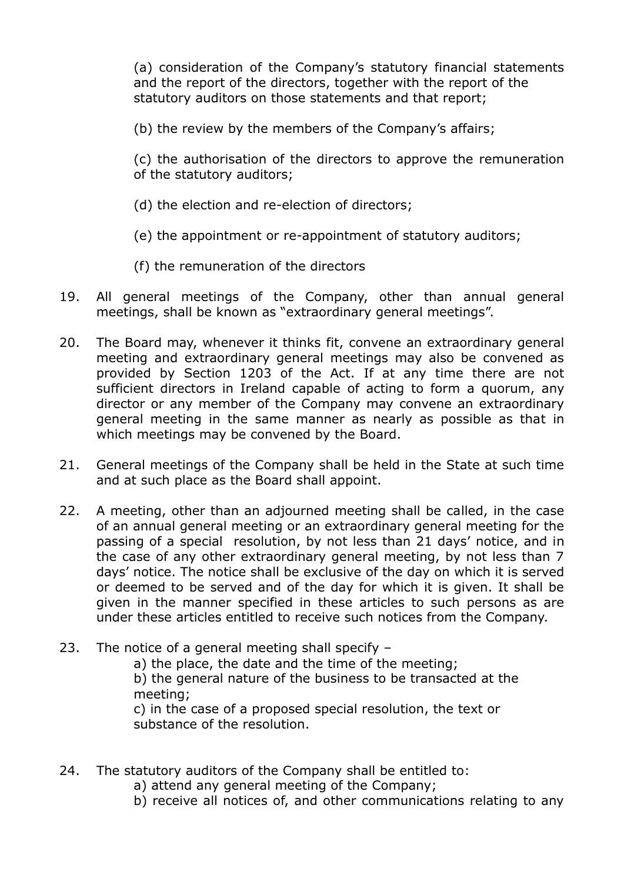(a) consideration of the Company's statutory financial statements and the report of the directors, together with the report of the statutory auditors on those statements and that report;

(b) the review by the members of the Company's affairs;

(c) the authorisation of the directors to approve the remuneration of the statutory auditors;

- (d) the election and re-election of directors;
- (e) the appointment or re-appointment of statutory auditors;
- (f) the remuneration of the directors
- 19. All general meetings of the Company, other than annual general meetings, shall be known as "extraordinary general meetings".
- 20. The Board may, whenever it thinks fit, convene an extraordinary general meeting and extraordinary general meetings may also be convened as provided by Section 1203 of the Act. If at any time there are not sufficient directors in Ireland capable of acting to form a quorum, any director or any member of the Company may convene an extraordinary general meeting in the same manner as nearly as possible as that in which meetings may be convened by the Board.
- 21. General meetings of the Company shall be held in the State at such time and at such place as the Board shall appoint.
- 22. A meeting, other than an adjourned meeting shall be called, in the case of an annual general meeting or an extraordinary general meeting for the passing of a special resolution, by not less than 21 days' notice, and in the case of any other extraordinary general meeting, by not less than 7 days' notice. The notice shall be exclusive of the day on which it is served or deemed to be served and of the day for which it is given. It shall be given in the manner specified in these articles to such persons as are under these articles entitled to receive such notices from the Company.
- 23. The notice of a general meeting shall specify –

a) the place, the date and the time of the meeting; b) the general nature of the business to be transacted at the meeting;

c) in the case of a proposed special resolution, the text or substance of the resolution.

- 24. The statutory auditors of the Company shall be entitled to:
	- a) attend any general meeting of the Company;
	- b) receive all notices of, and other communications relating to any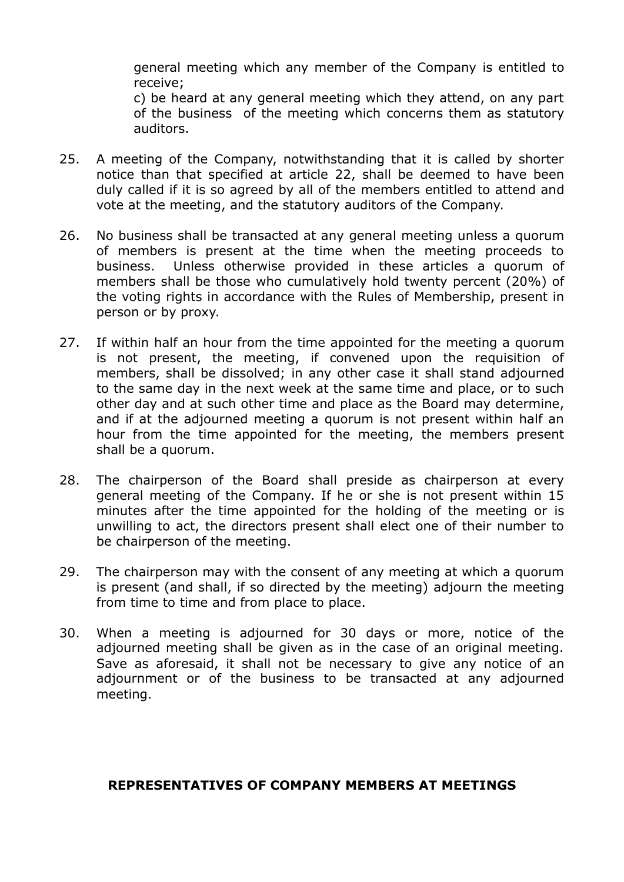general meeting which any member of the Company is entitled to receive;

c) be heard at any general meeting which they attend, on any part of the business of the meeting which concerns them as statutory auditors.

- 25. A meeting of the Company, notwithstanding that it is called by shorter notice than that specified at article 22, shall be deemed to have been duly called if it is so agreed by all of the members entitled to attend and vote at the meeting, and the statutory auditors of the Company.
- 26. No business shall be transacted at any general meeting unless a quorum of members is present at the time when the meeting proceeds to business. Unless otherwise provided in these articles a quorum of members shall be those who cumulatively hold twenty percent (20%) of the voting rights in accordance with the Rules of Membership, present in person or by proxy.
- 27. If within half an hour from the time appointed for the meeting a quorum is not present, the meeting, if convened upon the requisition of members, shall be dissolved; in any other case it shall stand adjourned to the same day in the next week at the same time and place, or to such other day and at such other time and place as the Board may determine, and if at the adjourned meeting a quorum is not present within half an hour from the time appointed for the meeting, the members present shall be a quorum.
- 28. The chairperson of the Board shall preside as chairperson at every general meeting of the Company. If he or she is not present within 15 minutes after the time appointed for the holding of the meeting or is unwilling to act, the directors present shall elect one of their number to be chairperson of the meeting.
- 29. The chairperson may with the consent of any meeting at which a quorum is present (and shall, if so directed by the meeting) adjourn the meeting from time to time and from place to place.
- 30. When a meeting is adjourned for 30 days or more, notice of the adjourned meeting shall be given as in the case of an original meeting. Save as aforesaid, it shall not be necessary to give any notice of an adjournment or of the business to be transacted at any adjourned meeting.

#### **REPRESENTATIVES OF COMPANY MEMBERS AT MEETINGS**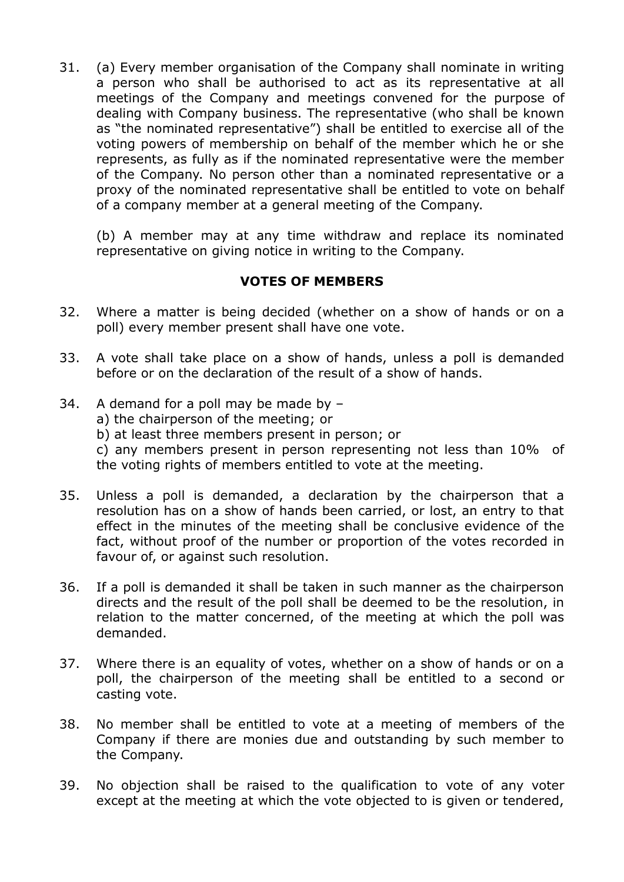31. (a) Every member organisation of the Company shall nominate in writing a person who shall be authorised to act as its representative at all meetings of the Company and meetings convened for the purpose of dealing with Company business. The representative (who shall be known as "the nominated representative") shall be entitled to exercise all of the voting powers of membership on behalf of the member which he or she represents, as fully as if the nominated representative were the member of the Company. No person other than a nominated representative or a proxy of the nominated representative shall be entitled to vote on behalf of a company member at a general meeting of the Company.

(b) A member may at any time withdraw and replace its nominated representative on giving notice in writing to the Company.

## **VOTES OF MEMBERS**

- 32. Where a matter is being decided (whether on a show of hands or on a poll) every member present shall have one vote.
- 33. A vote shall take place on a show of hands, unless a poll is demanded before or on the declaration of the result of a show of hands.
- 34. A demand for a poll may be made by
	- a) the chairperson of the meeting; or
	- b) at least three members present in person; or

c) any members present in person representing not less than 10% of the voting rights of members entitled to vote at the meeting.

- 35. Unless a poll is demanded, a declaration by the chairperson that a resolution has on a show of hands been carried, or lost, an entry to that effect in the minutes of the meeting shall be conclusive evidence of the fact, without proof of the number or proportion of the votes recorded in favour of, or against such resolution.
- 36. If a poll is demanded it shall be taken in such manner as the chairperson directs and the result of the poll shall be deemed to be the resolution, in relation to the matter concerned, of the meeting at which the poll was demanded.
- 37. Where there is an equality of votes, whether on a show of hands or on a poll, the chairperson of the meeting shall be entitled to a second or casting vote.
- 38. No member shall be entitled to vote at a meeting of members of the Company if there are monies due and outstanding by such member to the Company.
- 39. No objection shall be raised to the qualification to vote of any voter except at the meeting at which the vote objected to is given or tendered,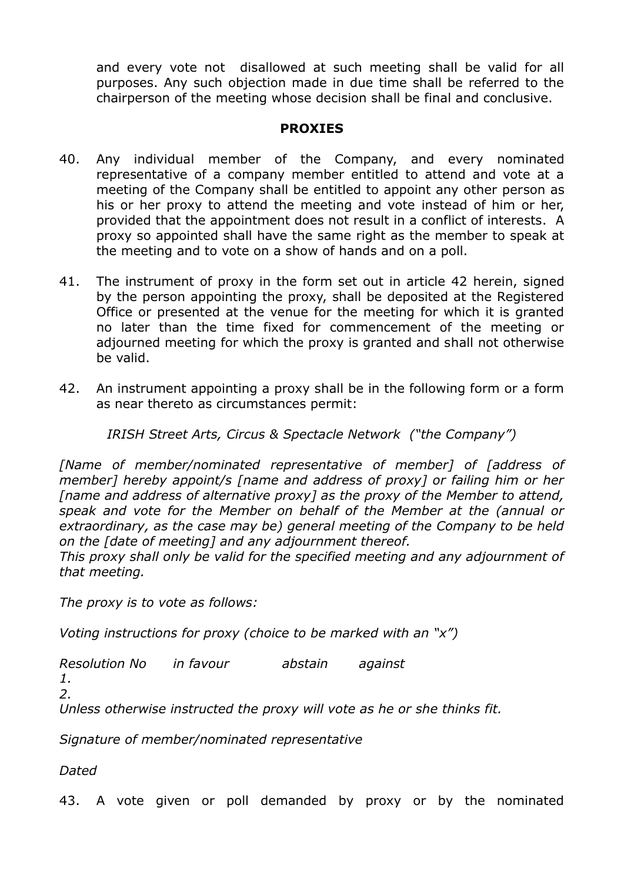and every vote not disallowed at such meeting shall be valid for all purposes. Any such objection made in due time shall be referred to the chairperson of the meeting whose decision shall be final and conclusive.

#### **PROXIES**

- 40. Any individual member of the Company, and every nominated representative of a company member entitled to attend and vote at a meeting of the Company shall be entitled to appoint any other person as his or her proxy to attend the meeting and vote instead of him or her, provided that the appointment does not result in a conflict of interests. A proxy so appointed shall have the same right as the member to speak at the meeting and to vote on a show of hands and on a poll.
- 41. The instrument of proxy in the form set out in article 42 herein, signed by the person appointing the proxy, shall be deposited at the Registered Office or presented at the venue for the meeting for which it is granted no later than the time fixed for commencement of the meeting or adjourned meeting for which the proxy is granted and shall not otherwise be valid.
- 42. An instrument appointing a proxy shall be in the following form or a form as near thereto as circumstances permit:

*IRISH Street Arts, Circus & Spectacle Network ("the Company")*

*[Name of member/nominated representative of member] of [address of member] hereby appoint/s [name and address of proxy] or failing him or her [name and address of alternative proxy] as the proxy of the Member to attend, speak and vote for the Member on behalf of the Member at the (annual or extraordinary, as the case may be) general meeting of the Company to be held on the [date of meeting] and any adjournment thereof.* 

*This proxy shall only be valid for the specified meeting and any adjournment of that meeting.* 

*The proxy is to vote as follows:* 

*Voting instructions for proxy (choice to be marked with an "x")* 

*Resolution No in favour abstain against* 

*1. 2.*

*Unless otherwise instructed the proxy will vote as he or she thinks fit.* 

*Signature of member/nominated representative* 

*Dated*

43. A vote given or poll demanded by proxy or by the nominated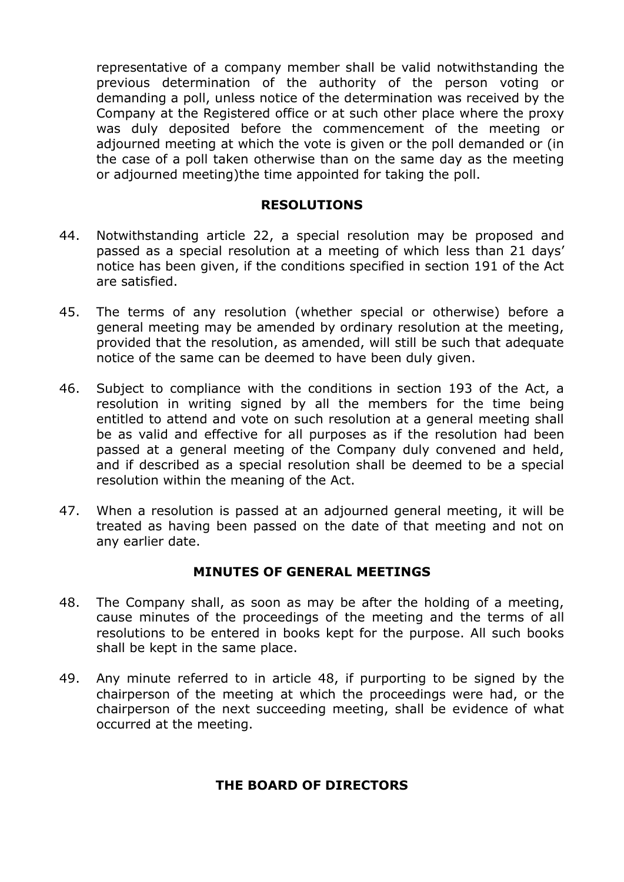representative of a company member shall be valid notwithstanding the previous determination of the authority of the person voting or demanding a poll, unless notice of the determination was received by the Company at the Registered office or at such other place where the proxy was duly deposited before the commencement of the meeting or adjourned meeting at which the vote is given or the poll demanded or (in the case of a poll taken otherwise than on the same day as the meeting or adjourned meeting)the time appointed for taking the poll.

#### **RESOLUTIONS**

- 44. Notwithstanding article 22, a special resolution may be proposed and passed as a special resolution at a meeting of which less than 21 days' notice has been given, if the conditions specified in section 191 of the Act are satisfied.
- 45. The terms of any resolution (whether special or otherwise) before a general meeting may be amended by ordinary resolution at the meeting, provided that the resolution, as amended, will still be such that adequate notice of the same can be deemed to have been duly given.
- 46. Subject to compliance with the conditions in section 193 of the Act, a resolution in writing signed by all the members for the time being entitled to attend and vote on such resolution at a general meeting shall be as valid and effective for all purposes as if the resolution had been passed at a general meeting of the Company duly convened and held, and if described as a special resolution shall be deemed to be a special resolution within the meaning of the Act.
- 47. When a resolution is passed at an adjourned general meeting, it will be treated as having been passed on the date of that meeting and not on any earlier date.

#### **MINUTES OF GENERAL MEETINGS**

- 48. The Company shall, as soon as may be after the holding of a meeting, cause minutes of the proceedings of the meeting and the terms of all resolutions to be entered in books kept for the purpose. All such books shall be kept in the same place.
- 49. Any minute referred to in article 48, if purporting to be signed by the chairperson of the meeting at which the proceedings were had, or the chairperson of the next succeeding meeting, shall be evidence of what occurred at the meeting.

#### **THE BOARD OF DIRECTORS**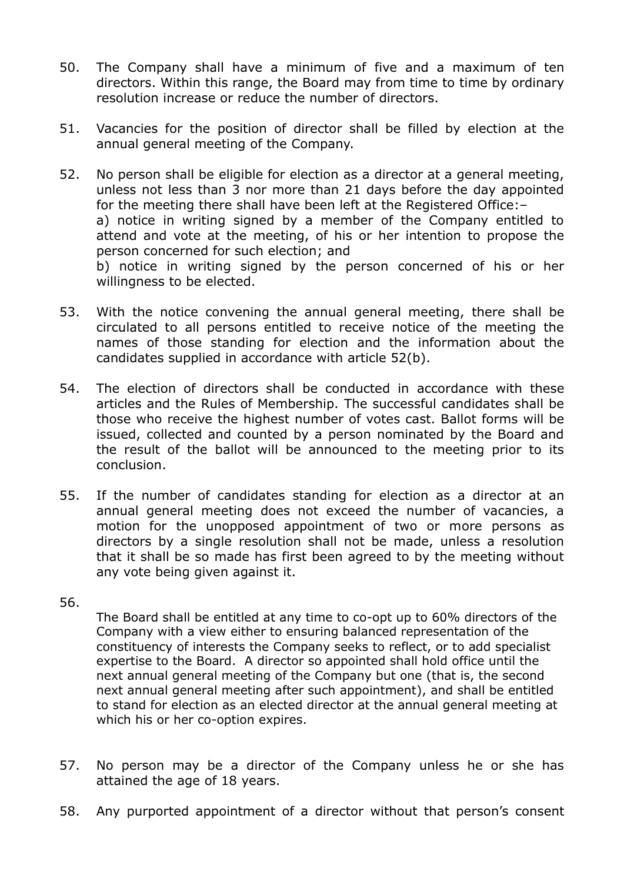- 50. The Company shall have a minimum of five and a maximum of ten directors. Within this range, the Board may from time to time by ordinary resolution increase or reduce the number of directors.
- 51. Vacancies for the position of director shall be filled by election at the annual general meeting of the Company.
- 52. No person shall be eligible for election as a director at a general meeting, unless not less than 3 nor more than 21 days before the day appointed for the meeting there shall have been left at the Registered Office:– a) notice in writing signed by a member of the Company entitled to attend and vote at the meeting, of his or her intention to propose the person concerned for such election; and b) notice in writing signed by the person concerned of his or her

willingness to be elected.

- 53. With the notice convening the annual general meeting, there shall be circulated to all persons entitled to receive notice of the meeting the names of those standing for election and the information about the candidates supplied in accordance with article 52(b).
- 54. The election of directors shall be conducted in accordance with these articles and the Rules of Membership. The successful candidates shall be those who receive the highest number of votes cast. Ballot forms will be issued, collected and counted by a person nominated by the Board and the result of the ballot will be announced to the meeting prior to its conclusion.
- 55. If the number of candidates standing for election as a director at an annual general meeting does not exceed the number of vacancies, a motion for the unopposed appointment of two or more persons as directors by a single resolution shall not be made, unless a resolution that it shall be so made has first been agreed to by the meeting without any vote being given against it.

#### 56.

The Board shall be entitled at any time to co-opt up to 60% directors of the Company with a view either to ensuring balanced representation of the constituency of interests the Company seeks to reflect, or to add specialist expertise to the Board. A director so appointed shall hold office until the next annual general meeting of the Company but one (that is, the second next annual general meeting after such appointment), and shall be entitled to stand for election as an elected director at the annual general meeting at which his or her co-option expires.

- 57. No person may be a director of the Company unless he or she has attained the age of 18 years.
- 58. Any purported appointment of a director without that person's consent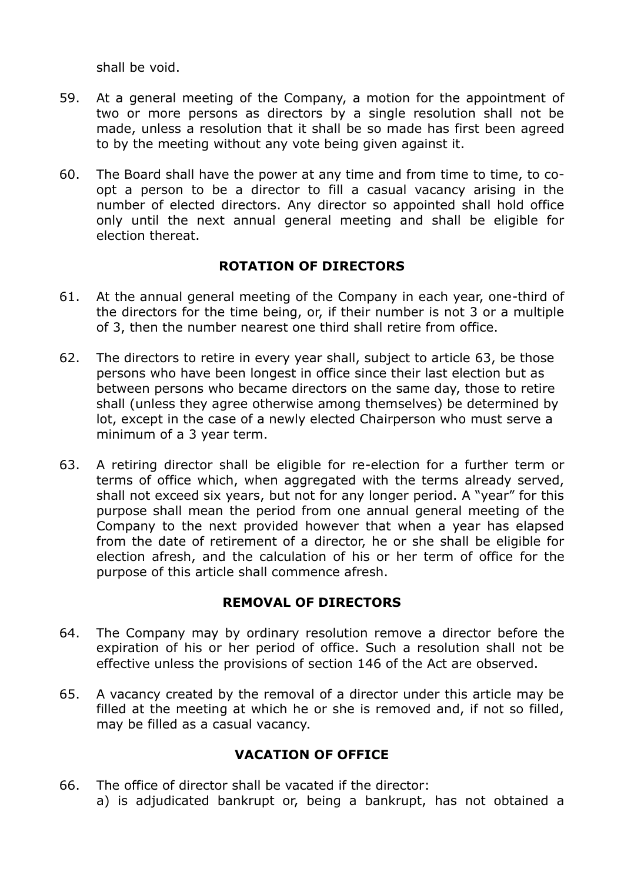shall be void.

- 59. At a general meeting of the Company, a motion for the appointment of two or more persons as directors by a single resolution shall not be made, unless a resolution that it shall be so made has first been agreed to by the meeting without any vote being given against it.
- 60. The Board shall have the power at any time and from time to time, to coopt a person to be a director to fill a casual vacancy arising in the number of elected directors. Any director so appointed shall hold office only until the next annual general meeting and shall be eligible for election thereat.

## **ROTATION OF DIRECTORS**

- 61. At the annual general meeting of the Company in each year, one-third of the directors for the time being, or, if their number is not 3 or a multiple of 3, then the number nearest one third shall retire from office.
- 62. The directors to retire in every year shall, subject to article 63, be those persons who have been longest in office since their last election but as between persons who became directors on the same day, those to retire shall (unless they agree otherwise among themselves) be determined by lot, except in the case of a newly elected Chairperson who must serve a minimum of a 3 year term.
- 63. A retiring director shall be eligible for re-election for a further term or terms of office which, when aggregated with the terms already served, shall not exceed six years, but not for any longer period. A "year" for this purpose shall mean the period from one annual general meeting of the Company to the next provided however that when a year has elapsed from the date of retirement of a director, he or she shall be eligible for election afresh, and the calculation of his or her term of office for the purpose of this article shall commence afresh.

# **REMOVAL OF DIRECTORS**

- 64. The Company may by ordinary resolution remove a director before the expiration of his or her period of office. Such a resolution shall not be effective unless the provisions of section 146 of the Act are observed.
- 65. A vacancy created by the removal of a director under this article may be filled at the meeting at which he or she is removed and, if not so filled, may be filled as a casual vacancy.

# **VACATION OF OFFICE**

66. The office of director shall be vacated if the director: a) is adjudicated bankrupt or, being a bankrupt, has not obtained a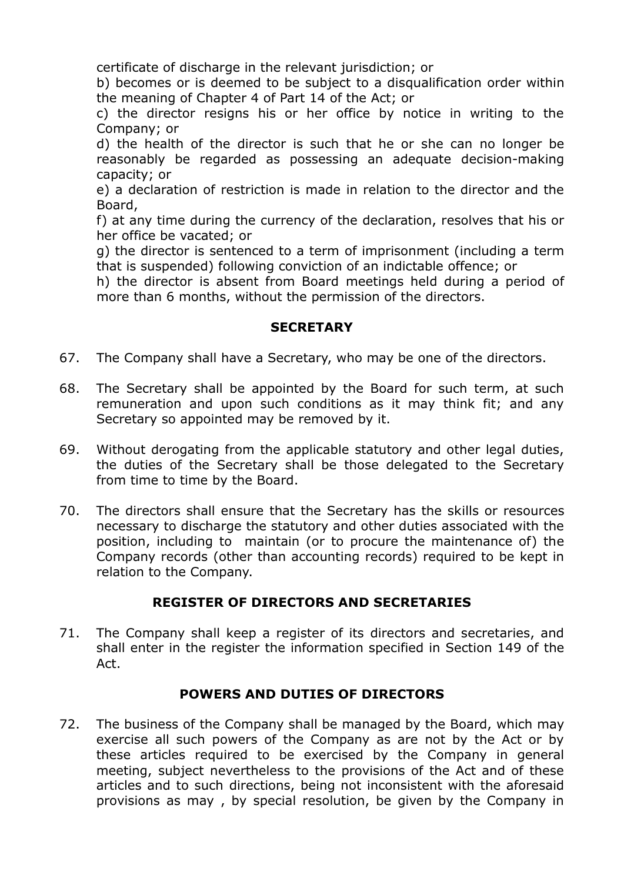certificate of discharge in the relevant jurisdiction; or

b) becomes or is deemed to be subject to a disqualification order within the meaning of Chapter 4 of Part 14 of the Act; or

c) the director resigns his or her office by notice in writing to the Company; or

d) the health of the director is such that he or she can no longer be reasonably be regarded as possessing an adequate decision-making capacity; or

e) a declaration of restriction is made in relation to the director and the Board,

f) at any time during the currency of the declaration, resolves that his or her office be vacated; or

g) the director is sentenced to a term of imprisonment (including a term that is suspended) following conviction of an indictable offence; or

h) the director is absent from Board meetings held during a period of more than 6 months, without the permission of the directors.

#### **SECRETARY**

- 67. The Company shall have a Secretary, who may be one of the directors.
- 68. The Secretary shall be appointed by the Board for such term, at such remuneration and upon such conditions as it may think fit; and any Secretary so appointed may be removed by it.
- 69. Without derogating from the applicable statutory and other legal duties, the duties of the Secretary shall be those delegated to the Secretary from time to time by the Board.
- 70. The directors shall ensure that the Secretary has the skills or resources necessary to discharge the statutory and other duties associated with the position, including to maintain (or to procure the maintenance of) the Company records (other than accounting records) required to be kept in relation to the Company.

# **REGISTER OF DIRECTORS AND SECRETARIES**

71. The Company shall keep a register of its directors and secretaries, and shall enter in the register the information specified in Section 149 of the Act.

# **POWERS AND DUTIES OF DIRECTORS**

72. The business of the Company shall be managed by the Board, which may exercise all such powers of the Company as are not by the Act or by these articles required to be exercised by the Company in general meeting, subject nevertheless to the provisions of the Act and of these articles and to such directions, being not inconsistent with the aforesaid provisions as may , by special resolution, be given by the Company in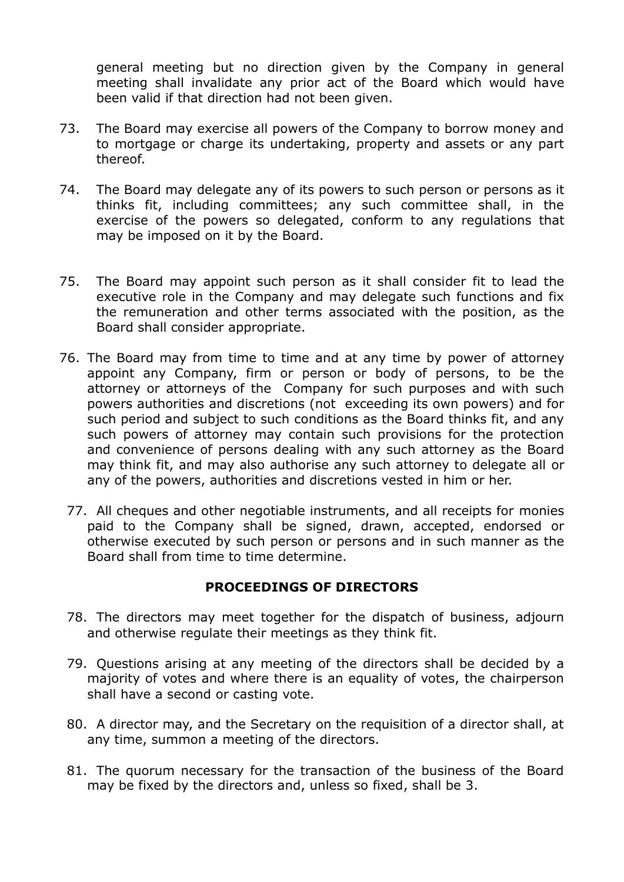general meeting but no direction given by the Company in general meeting shall invalidate any prior act of the Board which would have been valid if that direction had not been given.

- 73. The Board may exercise all powers of the Company to borrow money and to mortgage or charge its undertaking, property and assets or any part thereof.
- 74. The Board may delegate any of its powers to such person or persons as it thinks fit, including committees; any such committee shall, in the exercise of the powers so delegated, conform to any regulations that may be imposed on it by the Board.
- 75. The Board may appoint such person as it shall consider fit to lead the executive role in the Company and may delegate such functions and fix the remuneration and other terms associated with the position, as the Board shall consider appropriate.
- 76. The Board may from time to time and at any time by power of attorney appoint any Company, firm or person or body of persons, to be the attorney or attorneys of the Company for such purposes and with such powers authorities and discretions (not exceeding its own powers) and for such period and subject to such conditions as the Board thinks fit, and any such powers of attorney may contain such provisions for the protection and convenience of persons dealing with any such attorney as the Board may think fit, and may also authorise any such attorney to delegate all or any of the powers, authorities and discretions vested in him or her.
	- 77. All cheques and other negotiable instruments, and all receipts for monies paid to the Company shall be signed, drawn, accepted, endorsed or otherwise executed by such person or persons and in such manner as the Board shall from time to time determine.

#### **PROCEEDINGS OF DIRECTORS**

- 78. The directors may meet together for the dispatch of business, adjourn and otherwise regulate their meetings as they think fit.
- 79. Questions arising at any meeting of the directors shall be decided by a majority of votes and where there is an equality of votes, the chairperson shall have a second or casting vote.
- 80. A director may, and the Secretary on the requisition of a director shall, at any time, summon a meeting of the directors.
- 81. The quorum necessary for the transaction of the business of the Board may be fixed by the directors and, unless so fixed, shall be 3.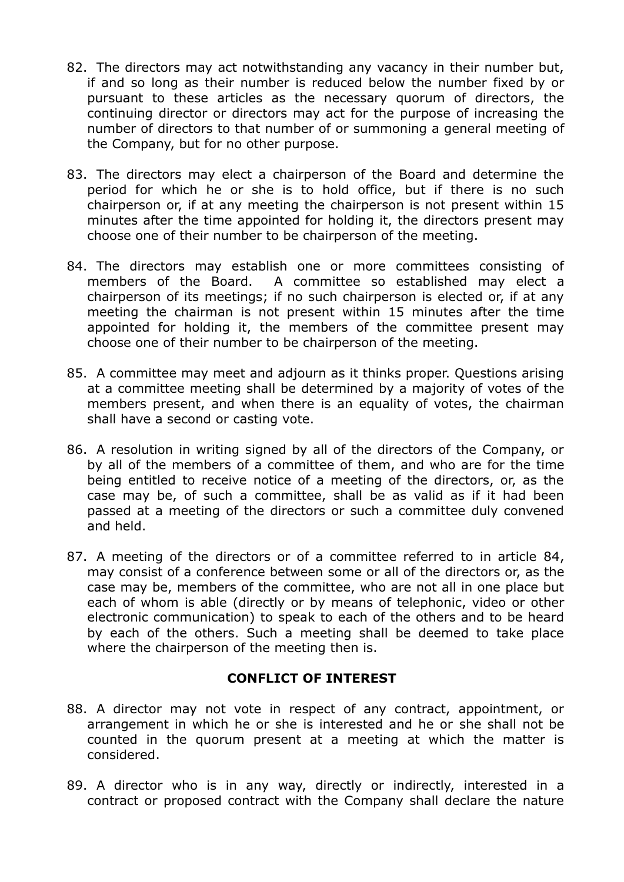- 82. The directors may act notwithstanding any vacancy in their number but, if and so long as their number is reduced below the number fixed by or pursuant to these articles as the necessary quorum of directors, the continuing director or directors may act for the purpose of increasing the number of directors to that number of or summoning a general meeting of the Company, but for no other purpose.
- 83. The directors may elect a chairperson of the Board and determine the period for which he or she is to hold office, but if there is no such chairperson or, if at any meeting the chairperson is not present within 15 minutes after the time appointed for holding it, the directors present may choose one of their number to be chairperson of the meeting.
- 84. The directors may establish one or more committees consisting of members of the Board. A committee so established may elect a chairperson of its meetings; if no such chairperson is elected or, if at any meeting the chairman is not present within 15 minutes after the time appointed for holding it, the members of the committee present may choose one of their number to be chairperson of the meeting.
- 85. A committee may meet and adjourn as it thinks proper. Questions arising at a committee meeting shall be determined by a majority of votes of the members present, and when there is an equality of votes, the chairman shall have a second or casting vote.
- 86. A resolution in writing signed by all of the directors of the Company, or by all of the members of a committee of them, and who are for the time being entitled to receive notice of a meeting of the directors, or, as the case may be, of such a committee, shall be as valid as if it had been passed at a meeting of the directors or such a committee duly convened and held.
- 87. A meeting of the directors or of a committee referred to in article 84, may consist of a conference between some or all of the directors or, as the case may be, members of the committee, who are not all in one place but each of whom is able (directly or by means of telephonic, video or other electronic communication) to speak to each of the others and to be heard by each of the others. Such a meeting shall be deemed to take place where the chairperson of the meeting then is.

#### **CONFLICT OF INTEREST**

- 88. A director may not vote in respect of any contract, appointment, or arrangement in which he or she is interested and he or she shall not be counted in the quorum present at a meeting at which the matter is considered.
- 89. A director who is in any way, directly or indirectly, interested in a contract or proposed contract with the Company shall declare the nature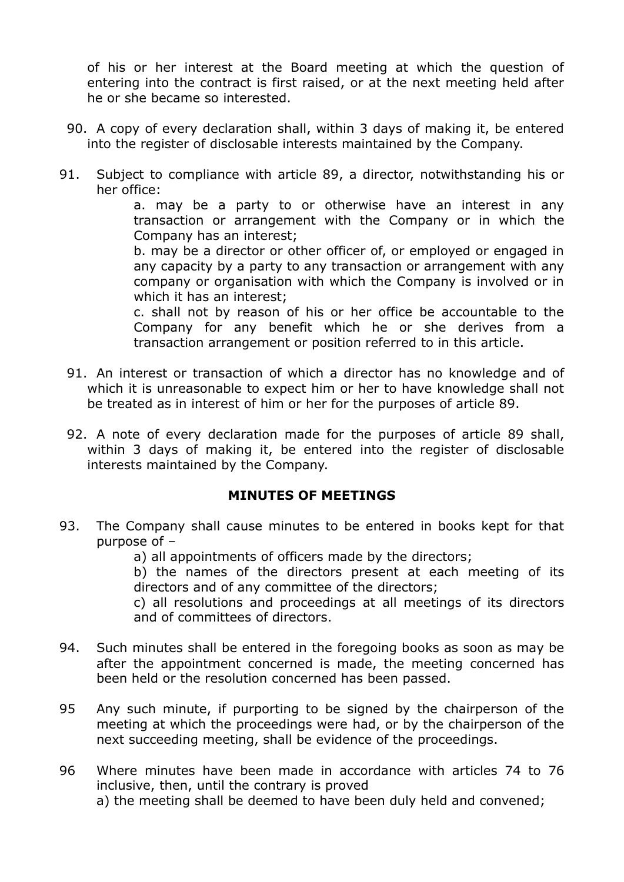of his or her interest at the Board meeting at which the question of entering into the contract is first raised, or at the next meeting held after he or she became so interested.

- 90. A copy of every declaration shall, within 3 days of making it, be entered into the register of disclosable interests maintained by the Company.
- 91. Subject to compliance with article 89, a director, notwithstanding his or her office:

a. may be a party to or otherwise have an interest in any transaction or arrangement with the Company or in which the Company has an interest;

b. may be a director or other officer of, or employed or engaged in any capacity by a party to any transaction or arrangement with any company or organisation with which the Company is involved or in which it has an interest;

c. shall not by reason of his or her office be accountable to the Company for any benefit which he or she derives from a transaction arrangement or position referred to in this article.

- 91. An interest or transaction of which a director has no knowledge and of which it is unreasonable to expect him or her to have knowledge shall not be treated as in interest of him or her for the purposes of article 89.
- 92. A note of every declaration made for the purposes of article 89 shall, within 3 days of making it, be entered into the register of disclosable interests maintained by the Company.

#### **MINUTES OF MEETINGS**

- 93. The Company shall cause minutes to be entered in books kept for that purpose of –
	- a) all appointments of officers made by the directors;

b) the names of the directors present at each meeting of its directors and of any committee of the directors;

c) all resolutions and proceedings at all meetings of its directors and of committees of directors.

- 94. Such minutes shall be entered in the foregoing books as soon as may be after the appointment concerned is made, the meeting concerned has been held or the resolution concerned has been passed.
- 95 Any such minute, if purporting to be signed by the chairperson of the meeting at which the proceedings were had, or by the chairperson of the next succeeding meeting, shall be evidence of the proceedings.
- 96 Where minutes have been made in accordance with articles 74 to 76 inclusive, then, until the contrary is proved

a) the meeting shall be deemed to have been duly held and convened;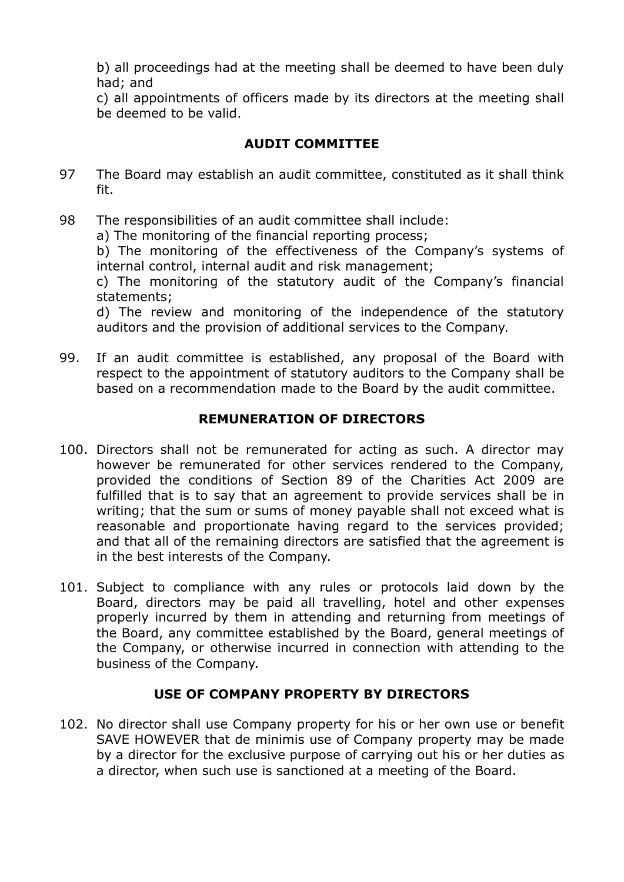b) all proceedings had at the meeting shall be deemed to have been duly had; and

c) all appointments of officers made by its directors at the meeting shall be deemed to be valid.

# **AUDIT COMMITTEE**

- 97 The Board may establish an audit committee, constituted as it shall think fit.
- 98 The responsibilities of an audit committee shall include:

a) The monitoring of the financial reporting process;

b) The monitoring of the effectiveness of the Company's systems of internal control, internal audit and risk management;

c) The monitoring of the statutory audit of the Company's financial statements;

d) The review and monitoring of the independence of the statutory auditors and the provision of additional services to the Company.

99. If an audit committee is established, any proposal of the Board with respect to the appointment of statutory auditors to the Company shall be based on a recommendation made to the Board by the audit committee.

# **REMUNERATION OF DIRECTORS**

- 100. Directors shall not be remunerated for acting as such. A director may however be remunerated for other services rendered to the Company, provided the conditions of Section 89 of the Charities Act 2009 are fulfilled that is to say that an agreement to provide services shall be in writing; that the sum or sums of money payable shall not exceed what is reasonable and proportionate having regard to the services provided; and that all of the remaining directors are satisfied that the agreement is in the best interests of the Company.
- 101. Subject to compliance with any rules or protocols laid down by the Board, directors may be paid all travelling, hotel and other expenses properly incurred by them in attending and returning from meetings of the Board, any committee established by the Board, general meetings of the Company, or otherwise incurred in connection with attending to the business of the Company.

# **USE OF COMPANY PROPERTY BY DIRECTORS**

102. No director shall use Company property for his or her own use or benefit SAVE HOWEVER that de minimis use of Company property may be made by a director for the exclusive purpose of carrying out his or her duties as a director, when such use is sanctioned at a meeting of the Board.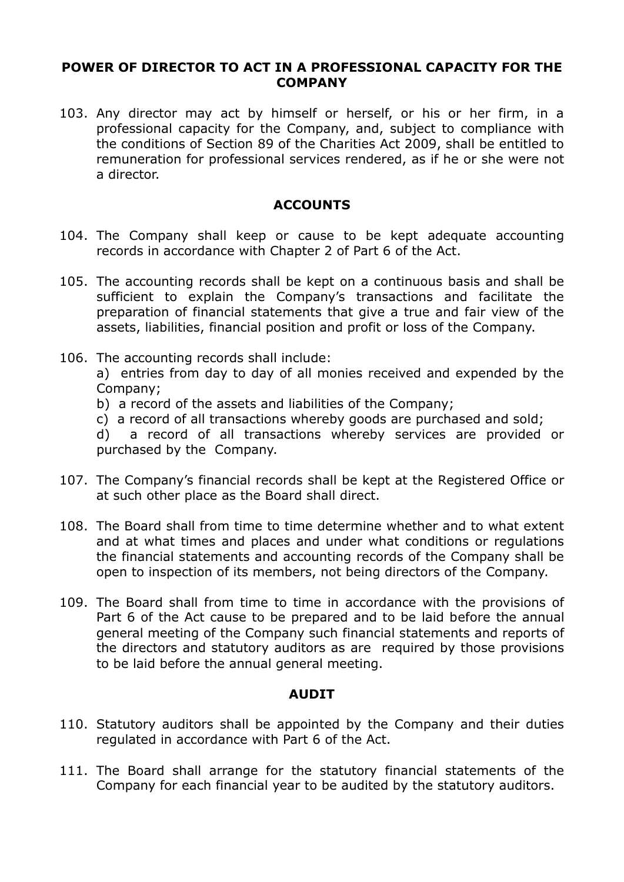#### **POWER OF DIRECTOR TO ACT IN A PROFESSIONAL CAPACITY FOR THE COMPANY**

103. Any director may act by himself or herself, or his or her firm, in a professional capacity for the Company, and, subject to compliance with the conditions of Section 89 of the Charities Act 2009, shall be entitled to remuneration for professional services rendered, as if he or she were not a director.

#### **ACCOUNTS**

- 104. The Company shall keep or cause to be kept adequate accounting records in accordance with Chapter 2 of Part 6 of the Act.
- 105. The accounting records shall be kept on a continuous basis and shall be sufficient to explain the Company's transactions and facilitate the preparation of financial statements that give a true and fair view of the assets, liabilities, financial position and profit or loss of the Company.
- 106. The accounting records shall include:

a) entries from day to day of all monies received and expended by the Company;

- b) a record of the assets and liabilities of the Company;
- c) a record of all transactions whereby goods are purchased and sold;

d) a record of all transactions whereby services are provided or purchased by the Company.

- 107. The Company's financial records shall be kept at the Registered Office or at such other place as the Board shall direct.
- 108. The Board shall from time to time determine whether and to what extent and at what times and places and under what conditions or regulations the financial statements and accounting records of the Company shall be open to inspection of its members, not being directors of the Company.
- 109. The Board shall from time to time in accordance with the provisions of Part 6 of the Act cause to be prepared and to be laid before the annual general meeting of the Company such financial statements and reports of the directors and statutory auditors as are required by those provisions to be laid before the annual general meeting.

#### **AUDIT**

- 110. Statutory auditors shall be appointed by the Company and their duties regulated in accordance with Part 6 of the Act.
- 111. The Board shall arrange for the statutory financial statements of the Company for each financial year to be audited by the statutory auditors.